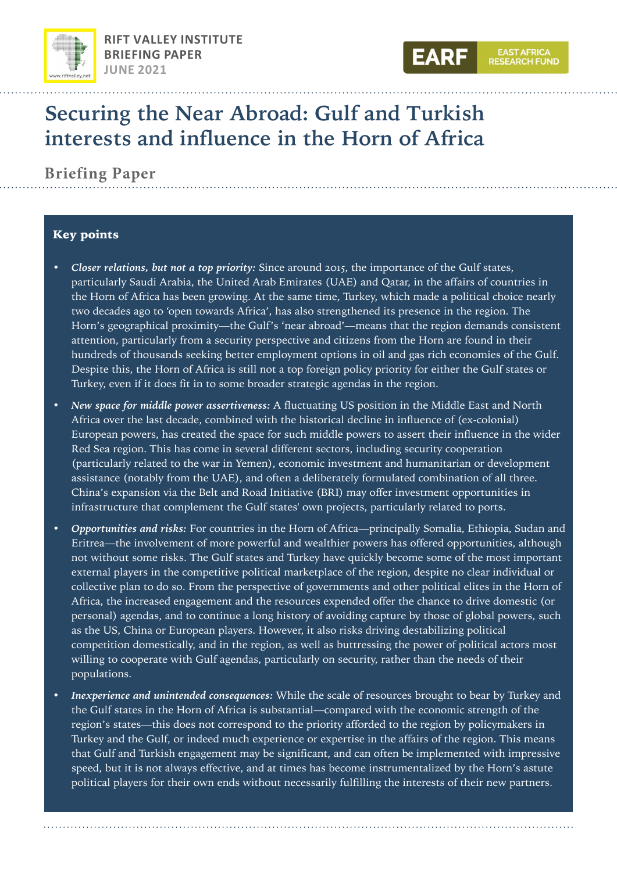



# **Securing the Near Abroad: Gulf and Turkish interests and influence in the Horn of Africa**

**Briefing Paper**

## Key points

- *Closer relations, but not a top priority:* Since around 2015, the importance of the Gulf states, particularly Saudi Arabia, the United Arab Emirates (UAE) and Qatar, in the affairs of countries in the Horn of Africa has been growing. At the same time, Turkey, which made a political choice nearly two decades ago to 'open towards Africa', has also strengthened its presence in the region. The Horn's geographical proximity—the Gulf's 'near abroad'—means that the region demands consistent attention, particularly from a security perspective and citizens from the Horn are found in their hundreds of thousands seeking better employment options in oil and gas rich economies of the Gulf. Despite this, the Horn of Africa is still not a top foreign policy priority for either the Gulf states or Turkey, even if it does fit in to some broader strategic agendas in the region.
- *New space for middle power assertiveness:* A fluctuating US position in the Middle East and North Africa over the last decade, combined with the historical decline in influence of (ex-colonial) European powers, has created the space for such middle powers to assert their influence in the wider Red Sea region. This has come in several different sectors, including security cooperation (particularly related to the war in Yemen), economic investment and humanitarian or development assistance (notably from the UAE), and often a deliberately formulated combination of all three. China's expansion via the Belt and Road Initiative (BRI) may offer investment opportunities in infrastructure that complement the Gulf states' own projects, particularly related to ports.
- *Opportunities and risks:* For countries in the Horn of Africa—principally Somalia, Ethiopia, Sudan and Eritrea—the involvement of more powerful and wealthier powers has offered opportunities, although not without some risks. The Gulf states and Turkey have quickly become some of the most important external players in the competitive political marketplace of the region, despite no clear individual or collective plan to do so. From the perspective of governments and other political elites in the Horn of Africa, the increased engagement and the resources expended offer the chance to drive domestic (or personal) agendas, and to continue a long history of avoiding capture by those of global powers, such as the US, China or European players. However, it also risks driving destabilizing political competition domestically, and in the region, as well as buttressing the power of political actors most willing to cooperate with Gulf agendas, particularly on security, rather than the needs of their populations.
- *Inexperience and unintended consequences:* While the scale of resources brought to bear by Turkey and the Gulf states in the Horn of Africa is substantial—compared with the economic strength of the region's states—this does not correspond to the priority afforded to the region by policymakers in Turkey and the Gulf, or indeed much experience or expertise in the affairs of the region. This means that Gulf and Turkish engagement may be significant, and can often be implemented with impressive speed, but it is not always effective, and at times has become instrumentalized by the Horn's astute political players for their own ends without necessarily fulfilling the interests of their new partners.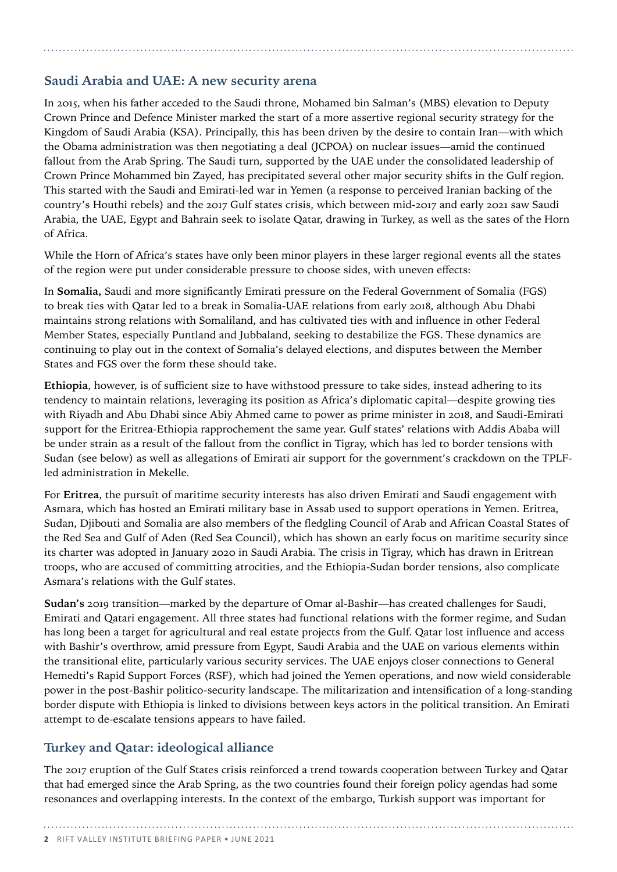## **Saudi Arabia and UAE: A new security arena**

In 2015, when his father acceded to the Saudi throne, Mohamed bin Salman's (MBS) elevation to Deputy Crown Prince and Defence Minister marked the start of a more assertive regional security strategy for the Kingdom of Saudi Arabia (KSA). Principally, this has been driven by the desire to contain Iran—with which the Obama administration was then negotiating a deal (JCPOA) on nuclear issues—amid the continued fallout from the Arab Spring. The Saudi turn, supported by the UAE under the consolidated leadership of Crown Prince Mohammed bin Zayed, has precipitated several other major security shifts in the Gulf region. This started with the Saudi and Emirati-led war in Yemen (a response to perceived Iranian backing of the country's Houthi rebels) and the 2017 Gulf states crisis, which between mid-2017 and early 2021 saw Saudi Arabia, the UAE, Egypt and Bahrain seek to isolate Qatar, drawing in Turkey, as well as the sates of the Horn of Africa.

While the Horn of Africa's states have only been minor players in these larger regional events all the states of the region were put under considerable pressure to choose sides, with uneven effects:

In **Somalia,** Saudi and more significantly Emirati pressure on the Federal Government of Somalia (FGS) to break ties with Qatar led to a break in Somalia-UAE relations from early 2018, although Abu Dhabi maintains strong relations with Somaliland, and has cultivated ties with and influence in other Federal Member States, especially Puntland and Jubbaland, seeking to destabilize the FGS. These dynamics are continuing to play out in the context of Somalia's delayed elections, and disputes between the Member States and FGS over the form these should take.

**Ethiopia**, however, is of sufficient size to have withstood pressure to take sides, instead adhering to its tendency to maintain relations, leveraging its position as Africa's diplomatic capital—despite growing ties with Riyadh and Abu Dhabi since Abiy Ahmed came to power as prime minister in 2018, and Saudi-Emirati support for the Eritrea-Ethiopia rapprochement the same year. Gulf states' relations with Addis Ababa will be under strain as a result of the fallout from the conflict in Tigray, which has led to border tensions with Sudan (see below) as well as allegations of Emirati air support for the government's crackdown on the TPLFled administration in Mekelle.

For **Eritrea**, the pursuit of maritime security interests has also driven Emirati and Saudi engagement with Asmara, which has hosted an Emirati military base in Assab used to support operations in Yemen. Eritrea, Sudan, Djibouti and Somalia are also members of the fledgling Council of Arab and African Coastal States of the Red Sea and Gulf of Aden (Red Sea Council), which has shown an early focus on maritime security since its charter was adopted in January 2020 in Saudi Arabia. The crisis in Tigray, which has drawn in Eritrean troops, who are accused of committing atrocities, and the Ethiopia-Sudan border tensions, also complicate Asmara's relations with the Gulf states.

**Sudan's** 2019 transition—marked by the departure of Omar al-Bashir—has created challenges for Saudi, Emirati and Qatari engagement. All three states had functional relations with the former regime, and Sudan has long been a target for agricultural and real estate projects from the Gulf. Qatar lost influence and access with Bashir's overthrow, amid pressure from Egypt, Saudi Arabia and the UAE on various elements within the transitional elite, particularly various security services. The UAE enjoys closer connections to General Hemedti's Rapid Support Forces (RSF), which had joined the Yemen operations, and now wield considerable power in the post-Bashir politico-security landscape. The militarization and intensification of a long-standing border dispute with Ethiopia is linked to divisions between keys actors in the political transition. An Emirati attempt to de-escalate tensions appears to have failed.

# **Turkey and Qatar: ideological alliance**

The 2017 eruption of the Gulf States crisis reinforced a trend towards cooperation between Turkey and Qatar that had emerged since the Arab Spring, as the two countries found their foreign policy agendas had some resonances and overlapping interests. In the context of the embargo, Turkish support was important for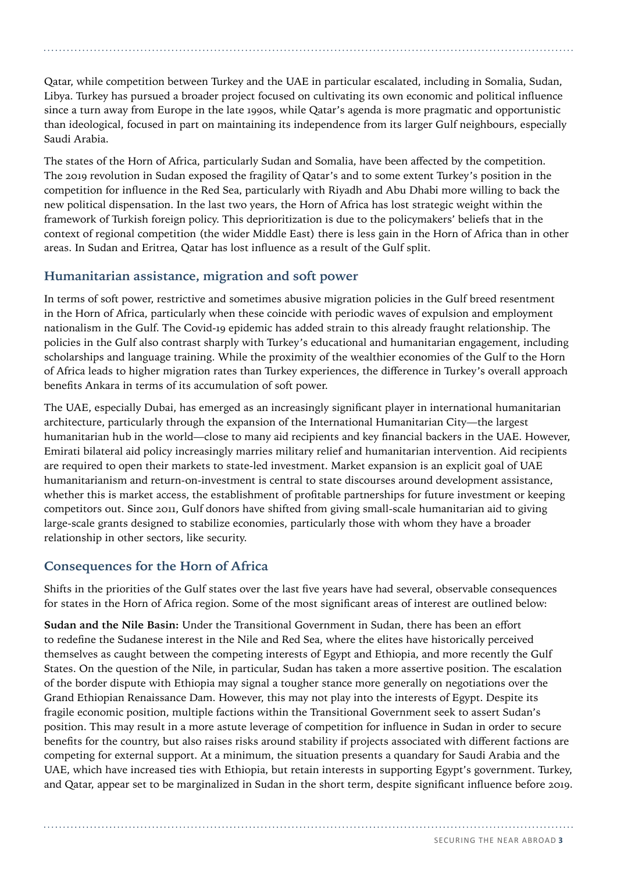Qatar, while competition between Turkey and the UAE in particular escalated, including in Somalia, Sudan, Libya. Turkey has pursued a broader project focused on cultivating its own economic and political influence since a turn away from Europe in the late 1990s, while Qatar's agenda is more pragmatic and opportunistic than ideological, focused in part on maintaining its independence from its larger Gulf neighbours, especially Saudi Arabia.

The states of the Horn of Africa, particularly Sudan and Somalia, have been affected by the competition. The 2019 revolution in Sudan exposed the fragility of Qatar's and to some extent Turkey's position in the competition for influence in the Red Sea, particularly with Riyadh and Abu Dhabi more willing to back the new political dispensation. In the last two years, the Horn of Africa has lost strategic weight within the framework of Turkish foreign policy. This deprioritization is due to the policymakers' beliefs that in the context of regional competition (the wider Middle East) there is less gain in the Horn of Africa than in other areas. In Sudan and Eritrea, Qatar has lost influence as a result of the Gulf split.

## **Humanitarian assistance, migration and soft power**

In terms of soft power, restrictive and sometimes abusive migration policies in the Gulf breed resentment in the Horn of Africa, particularly when these coincide with periodic waves of expulsion and employment nationalism in the Gulf. The Covid-19 epidemic has added strain to this already fraught relationship. The policies in the Gulf also contrast sharply with Turkey's educational and humanitarian engagement, including scholarships and language training. While the proximity of the wealthier economies of the Gulf to the Horn of Africa leads to higher migration rates than Turkey experiences, the difference in Turkey's overall approach benefits Ankara in terms of its accumulation of soft power.

The UAE, especially Dubai, has emerged as an increasingly significant player in international humanitarian architecture, particularly through the expansion of the International Humanitarian City—the largest humanitarian hub in the world—close to many aid recipients and key financial backers in the UAE. However, Emirati bilateral aid policy increasingly marries military relief and humanitarian intervention. Aid recipients are required to open their markets to state-led investment. Market expansion is an explicit goal of UAE humanitarianism and return-on-investment is central to state discourses around development assistance, whether this is market access, the establishment of profitable partnerships for future investment or keeping competitors out. Since 2011, Gulf donors have shifted from giving small-scale humanitarian aid to giving large-scale grants designed to stabilize economies, particularly those with whom they have a broader relationship in other sectors, like security.

# **Consequences for the Horn of Africa**

Shifts in the priorities of the Gulf states over the last five years have had several, observable consequences for states in the Horn of Africa region. Some of the most significant areas of interest are outlined below:

**Sudan and the Nile Basin:** Under the Transitional Government in Sudan, there has been an effort to redefine the Sudanese interest in the Nile and Red Sea, where the elites have historically perceived themselves as caught between the competing interests of Egypt and Ethiopia, and more recently the Gulf States. On the question of the Nile, in particular, Sudan has taken a more assertive position. The escalation of the border dispute with Ethiopia may signal a tougher stance more generally on negotiations over the Grand Ethiopian Renaissance Dam. However, this may not play into the interests of Egypt. Despite its fragile economic position, multiple factions within the Transitional Government seek to assert Sudan's position. This may result in a more astute leverage of competition for influence in Sudan in order to secure benefits for the country, but also raises risks around stability if projects associated with different factions are competing for external support. At a minimum, the situation presents a quandary for Saudi Arabia and the UAE, which have increased ties with Ethiopia, but retain interests in supporting Egypt's government. Turkey, and Qatar, appear set to be marginalized in Sudan in the short term, despite significant influence before 2019.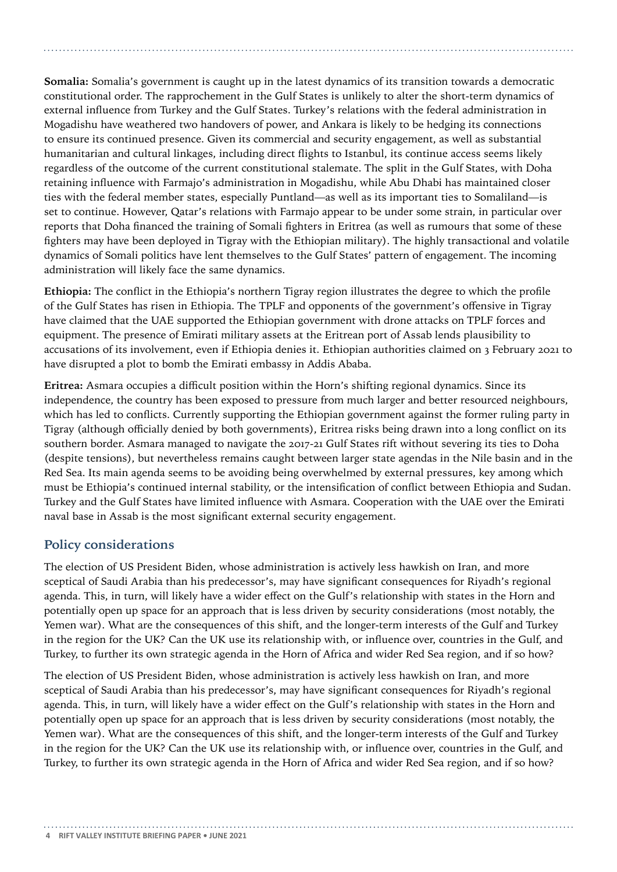**Somalia:** Somalia's government is caught up in the latest dynamics of its transition towards a democratic constitutional order. The rapprochement in the Gulf States is unlikely to alter the short-term dynamics of external influence from Turkey and the Gulf States. Turkey's relations with the federal administration in Mogadishu have weathered two handovers of power, and Ankara is likely to be hedging its connections to ensure its continued presence. Given its commercial and security engagement, as well as substantial humanitarian and cultural linkages, including direct flights to Istanbul, its continue access seems likely regardless of the outcome of the current constitutional stalemate. The split in the Gulf States, with Doha retaining influence with Farmajo's administration in Mogadishu, while Abu Dhabi has maintained closer ties with the federal member states, especially Puntland—as well as its important ties to Somaliland—is set to continue. However, Qatar's relations with Farmajo appear to be under some strain, in particular over reports that Doha financed the training of Somali fighters in Eritrea (as well as rumours that some of these fighters may have been deployed in Tigray with the Ethiopian military). The highly transactional and volatile dynamics of Somali politics have lent themselves to the Gulf States' pattern of engagement. The incoming administration will likely face the same dynamics.

**Ethiopia:** The conflict in the Ethiopia's northern Tigray region illustrates the degree to which the profile of the Gulf States has risen in Ethiopia. The TPLF and opponents of the government's offensive in Tigray have claimed that the UAE supported the Ethiopian government with drone attacks on TPLF forces and equipment. The presence of Emirati military assets at the Eritrean port of Assab lends plausibility to accusations of its involvement, even if Ethiopia denies it. Ethiopian authorities claimed on 3 February 2021 to have disrupted a plot to bomb the Emirati embassy in Addis Ababa.

**Eritrea:** Asmara occupies a difficult position within the Horn's shifting regional dynamics. Since its independence, the country has been exposed to pressure from much larger and better resourced neighbours, which has led to conflicts. Currently supporting the Ethiopian government against the former ruling party in Tigray (although officially denied by both governments), Eritrea risks being drawn into a long conflict on its southern border. Asmara managed to navigate the 2017-21 Gulf States rift without severing its ties to Doha (despite tensions), but nevertheless remains caught between larger state agendas in the Nile basin and in the Red Sea. Its main agenda seems to be avoiding being overwhelmed by external pressures, key among which must be Ethiopia's continued internal stability, or the intensification of conflict between Ethiopia and Sudan. Turkey and the Gulf States have limited influence with Asmara. Cooperation with the UAE over the Emirati naval base in Assab is the most significant external security engagement.

## **Policy considerations**

The election of US President Biden, whose administration is actively less hawkish on Iran, and more sceptical of Saudi Arabia than his predecessor's, may have significant consequences for Riyadh's regional agenda. This, in turn, will likely have a wider effect on the Gulf's relationship with states in the Horn and potentially open up space for an approach that is less driven by security considerations (most notably, the Yemen war). What are the consequences of this shift, and the longer-term interests of the Gulf and Turkey in the region for the UK? Can the UK use its relationship with, or influence over, countries in the Gulf, and Turkey, to further its own strategic agenda in the Horn of Africa and wider Red Sea region, and if so how?

The election of US President Biden, whose administration is actively less hawkish on Iran, and more sceptical of Saudi Arabia than his predecessor's, may have significant consequences for Riyadh's regional agenda. This, in turn, will likely have a wider effect on the Gulf's relationship with states in the Horn and potentially open up space for an approach that is less driven by security considerations (most notably, the Yemen war). What are the consequences of this shift, and the longer-term interests of the Gulf and Turkey in the region for the UK? Can the UK use its relationship with, or influence over, countries in the Gulf, and Turkey, to further its own strategic agenda in the Horn of Africa and wider Red Sea region, and if so how?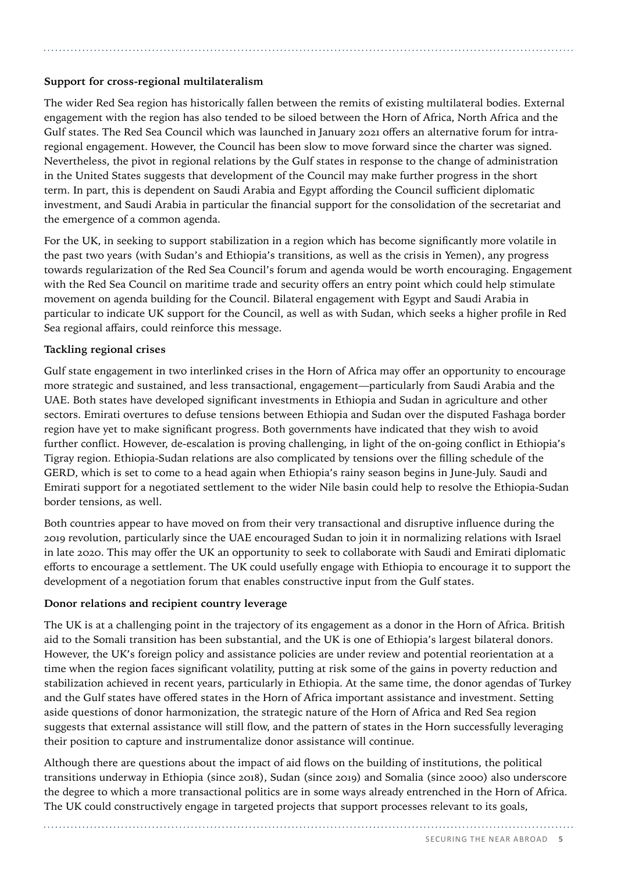## **Support for cross-regional multilateralism**

The wider Red Sea region has historically fallen between the remits of existing multilateral bodies. External engagement with the region has also tended to be siloed between the Horn of Africa, North Africa and the Gulf states. The Red Sea Council which was launched in January 2021 offers an alternative forum for intraregional engagement. However, the Council has been slow to move forward since the charter was signed. Nevertheless, the pivot in regional relations by the Gulf states in response to the change of administration in the United States suggests that development of the Council may make further progress in the short term. In part, this is dependent on Saudi Arabia and Egypt affording the Council sufficient diplomatic investment, and Saudi Arabia in particular the financial support for the consolidation of the secretariat and the emergence of a common agenda.

For the UK, in seeking to support stabilization in a region which has become significantly more volatile in the past two years (with Sudan's and Ethiopia's transitions, as well as the crisis in Yemen), any progress towards regularization of the Red Sea Council's forum and agenda would be worth encouraging. Engagement with the Red Sea Council on maritime trade and security offers an entry point which could help stimulate movement on agenda building for the Council. Bilateral engagement with Egypt and Saudi Arabia in particular to indicate UK support for the Council, as well as with Sudan, which seeks a higher profile in Red Sea regional affairs, could reinforce this message.

### **Tackling regional crises**

Gulf state engagement in two interlinked crises in the Horn of Africa may offer an opportunity to encourage more strategic and sustained, and less transactional, engagement—particularly from Saudi Arabia and the UAE. Both states have developed significant investments in Ethiopia and Sudan in agriculture and other sectors. Emirati overtures to defuse tensions between Ethiopia and Sudan over the disputed Fashaga border region have yet to make significant progress. Both governments have indicated that they wish to avoid further conflict. However, de-escalation is proving challenging, in light of the on-going conflict in Ethiopia's Tigray region. Ethiopia-Sudan relations are also complicated by tensions over the filling schedule of the GERD, which is set to come to a head again when Ethiopia's rainy season begins in June-July. Saudi and Emirati support for a negotiated settlement to the wider Nile basin could help to resolve the Ethiopia-Sudan border tensions, as well.

Both countries appear to have moved on from their very transactional and disruptive influence during the 2019 revolution, particularly since the UAE encouraged Sudan to join it in normalizing relations with Israel in late 2020. This may offer the UK an opportunity to seek to collaborate with Saudi and Emirati diplomatic efforts to encourage a settlement. The UK could usefully engage with Ethiopia to encourage it to support the development of a negotiation forum that enables constructive input from the Gulf states.

### **Donor relations and recipient country leverage**

The UK is at a challenging point in the trajectory of its engagement as a donor in the Horn of Africa. British aid to the Somali transition has been substantial, and the UK is one of Ethiopia's largest bilateral donors. However, the UK's foreign policy and assistance policies are under review and potential reorientation at a time when the region faces significant volatility, putting at risk some of the gains in poverty reduction and stabilization achieved in recent years, particularly in Ethiopia. At the same time, the donor agendas of Turkey and the Gulf states have offered states in the Horn of Africa important assistance and investment. Setting aside questions of donor harmonization, the strategic nature of the Horn of Africa and Red Sea region suggests that external assistance will still flow, and the pattern of states in the Horn successfully leveraging their position to capture and instrumentalize donor assistance will continue.

Although there are questions about the impact of aid flows on the building of institutions, the political transitions underway in Ethiopia (since 2018), Sudan (since 2019) and Somalia (since 2000) also underscore the degree to which a more transactional politics are in some ways already entrenched in the Horn of Africa. The UK could constructively engage in targeted projects that support processes relevant to its goals,

SECURING THE NEAR ABROAD **5**